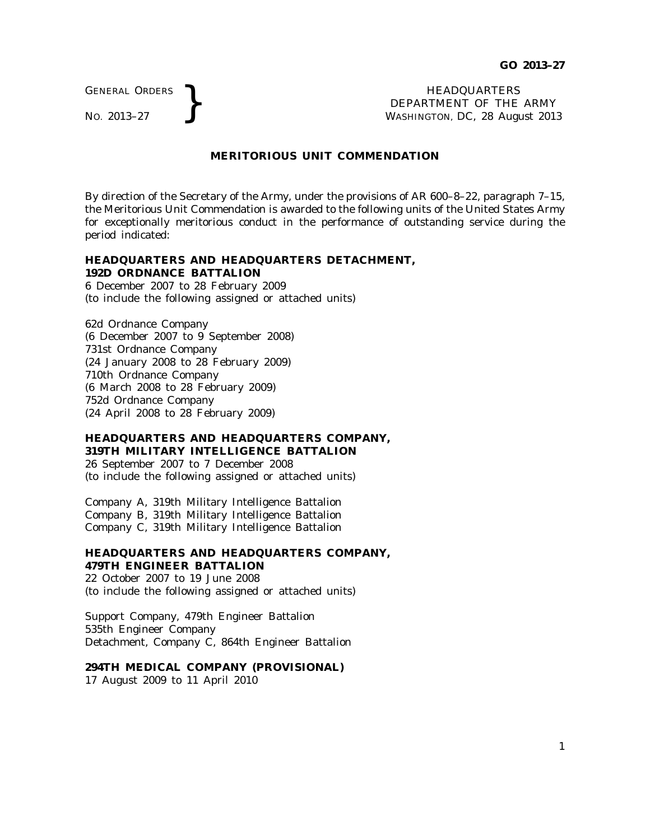GENERAL ORDERS

GENERAL ORDERS **REAL ORDERS REAL ORDERS REAL ORDERS REAL ORDERS REAL ORDERS REAL ORDERS REAL ORDERS REAL ORDERS REAL ORDERS REAL ORDERS REAL ORDERS REAL ORDER REAL ORDER REAL ORDER AND MASHINGTON** DEPARTMENT OF THE ARMY WASHINGTON, DC, *28 August 2013*

## **MERITORIOUS UNIT COMMENDATION**

By direction of the Secretary of the Army, under the provisions of AR 600–8–22, paragraph 7–15, the Meritorious Unit Commendation is awarded to the following units of the United States Army for exceptionally meritorious conduct in the performance of outstanding service during the period indicated:

## **HEADQUARTERS AND HEADQUARTERS DETACHMENT, 192D ORDNANCE BATTALION**

6 December 2007 to 28 February 2009 (to include the following assigned or attached units)

62d Ordnance Company (6 December 2007 to 9 September 2008) 731st Ordnance Company (24 January 2008 to 28 February 2009) 710th Ordnance Company (6 March 2008 to 28 February 2009) 752d Ordnance Company (24 April 2008 to 28 February 2009)

### **HEADQUARTERS AND HEADQUARTERS COMPANY, 319TH MILITARY INTELLIGENCE BATTALION**

26 September 2007 to 7 December 2008 (to include the following assigned or attached units)

Company A, 319th Military Intelligence Battalion Company B, 319th Military Intelligence Battalion Company C, 319th Military Intelligence Battalion

### **HEADQUARTERS AND HEADQUARTERS COMPANY, 479TH ENGINEER BATTALION**

22 October 2007 to 19 June 2008 (to include the following assigned or attached units)

Support Company, 479th Engineer Battalion 535th Engineer Company Detachment, Company C, 864th Engineer Battalion

### **294TH MEDICAL COMPANY (PROVISIONAL)**

17 August 2009 to 11 April 2010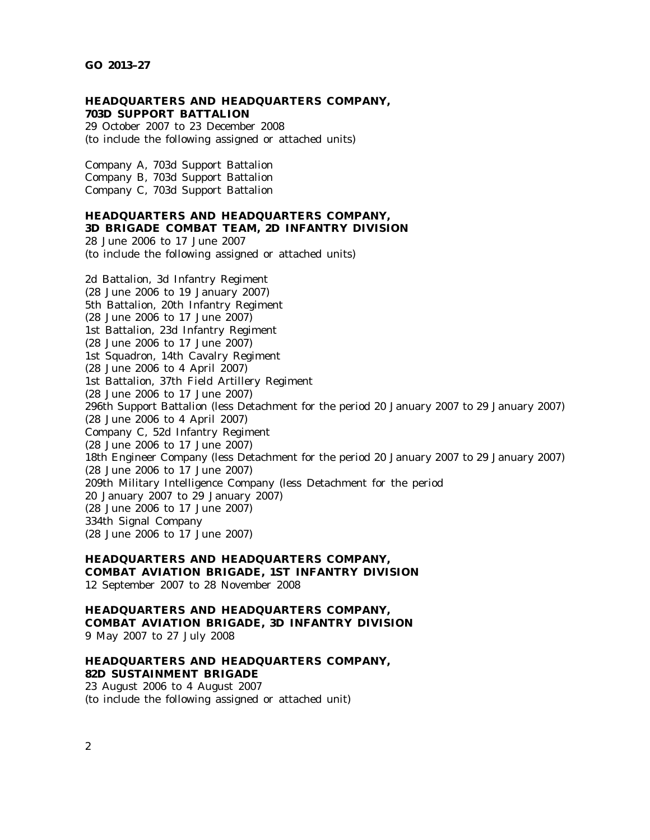#### **HEADQUARTERS AND HEADQUARTERS COMPANY, 703D SUPPORT BATTALION**

29 October 2007 to 23 December 2008 (to include the following assigned or attached units)

Company A, 703d Support Battalion Company B, 703d Support Battalion Company C, 703d Support Battalion

## **HEADQUARTERS AND HEADQUARTERS COMPANY,**

# **3D BRIGADE COMBAT TEAM, 2D INFANTRY DIVISION**

28 June 2006 to 17 June 2007 (to include the following assigned or attached units)

2d Battalion, 3d Infantry Regiment (28 June 2006 to 19 January 2007) 5th Battalion, 20th Infantry Regiment (28 June 2006 to 17 June 2007) 1st Battalion, 23d Infantry Regiment (28 June 2006 to 17 June 2007) 1st Squadron, 14th Cavalry Regiment (28 June 2006 to 4 April 2007) 1st Battalion, 37th Field Artillery Regiment (28 June 2006 to 17 June 2007) 296th Support Battalion (less Detachment for the period 20 January 2007 to 29 January 2007) (28 June 2006 to 4 April 2007) Company C, 52d Infantry Regiment (28 June 2006 to 17 June 2007) 18th Engineer Company (less Detachment for the period 20 January 2007 to 29 January 2007) (28 June 2006 to 17 June 2007) 209th Military Intelligence Company (less Detachment for the period 20 January 2007 to 29 January 2007) (28 June 2006 to 17 June 2007) 334th Signal Company (28 June 2006 to 17 June 2007)

### **HEADQUARTERS AND HEADQUARTERS COMPANY, COMBAT AVIATION BRIGADE, 1ST INFANTRY DIVISION** 12 September 2007 to 28 November 2008

### **HEADQUARTERS AND HEADQUARTERS COMPANY, COMBAT AVIATION BRIGADE, 3D INFANTRY DIVISION** 9 May 2007 to 27 July 2008

## **HEADQUARTERS AND HEADQUARTERS COMPANY, 82D SUSTAINMENT BRIGADE**

23 August 2006 to 4 August 2007 (to include the following assigned or attached unit)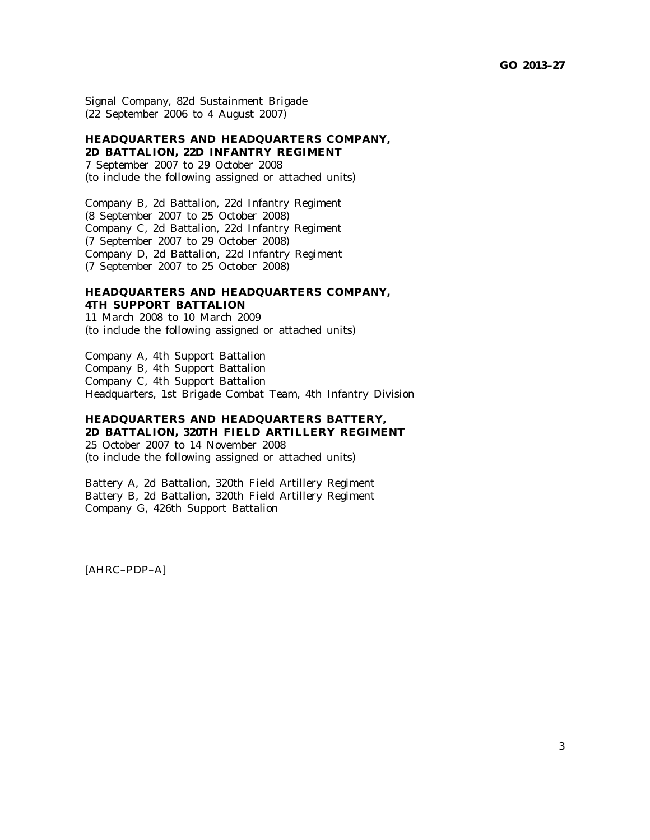Signal Company, 82d Sustainment Brigade (22 September 2006 to 4 August 2007)

## **HEADQUARTERS AND HEADQUARTERS COMPANY, 2D BATTALION, 22D INFANTRY REGIMENT**

7 September 2007 to 29 October 2008 (to include the following assigned or attached units)

Company B, 2d Battalion, 22d Infantry Regiment (8 September 2007 to 25 October 2008) Company C, 2d Battalion, 22d Infantry Regiment (7 September 2007 to 29 October 2008) Company D, 2d Battalion, 22d Infantry Regiment (7 September 2007 to 25 October 2008)

## **HEADQUARTERS AND HEADQUARTERS COMPANY, 4TH SUPPORT BATTALION**

11 March 2008 to 10 March 2009 (to include the following assigned or attached units)

Company A, 4th Support Battalion Company B, 4th Support Battalion Company C, 4th Support Battalion Headquarters, 1st Brigade Combat Team, 4th Infantry Division

## **HEADQUARTERS AND HEADQUARTERS BATTERY, 2D BATTALION, 320TH FIELD ARTILLERY REGIMENT**

25 October 2007 to 14 November 2008 (to include the following assigned or attached units)

Battery A, 2d Battalion, 320th Field Artillery Regiment Battery B, 2d Battalion, 320th Field Artillery Regiment Company G, 426th Support Battalion

[AHRC–PDP–A]